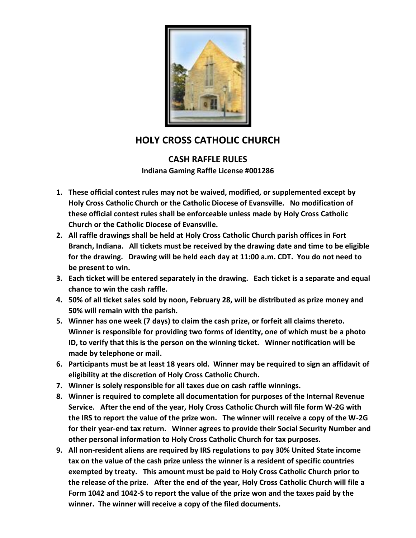

## **HOLY CROSS CATHOLIC CHURCH**

## **CASH RAFFLE RULES Indiana Gaming Raffle License #001286**

- **1. These official contest rules may not be waived, modified, or supplemented except by Holy Cross Catholic Church or the Catholic Diocese of Evansville. No modification of these official contest rules shall be enforceable unless made by Holy Cross Catholic Church or the Catholic Diocese of Evansville.**
- **2. All raffle drawings shall be held at Holy Cross Catholic Church parish offices in Fort Branch, Indiana. All tickets must be received by the drawing date and time to be eligible for the drawing. Drawing will be held each day at 11:00 a.m. CDT. You do not need to be present to win.**
- **3. Each ticket will be entered separately in the drawing. Each ticket is a separate and equal chance to win the cash raffle.**
- **4. 50% of all ticket sales sold by noon, February 28, will be distributed as prize money and 50% will remain with the parish.**
- **5. Winner has one week (7 days) to claim the cash prize, or forfeit all claims thereto. Winner is responsible for providing two forms of identity, one of which must be a photo ID, to verify that this is the person on the winning ticket. Winner notification will be made by telephone or mail.**
- **6. Participants must be at least 18 years old. Winner may be required to sign an affidavit of eligibility at the discretion of Holy Cross Catholic Church.**
- **7. Winner is solely responsible for all taxes due on cash raffle winnings.**
- **8. Winner is required to complete all documentation for purposes of the Internal Revenue Service. After the end of the year, Holy Cross Catholic Church will file form W-2G with the IRS to report the value of the prize won. The winner will receive a copy of the W-2G for their year-end tax return. Winner agrees to provide their Social Security Number and other personal information to Holy Cross Catholic Church for tax purposes.**
- **9. All non-resident aliens are required by IRS regulations to pay 30% United State income tax on the value of the cash prize unless the winner is a resident of specific countries exempted by treaty. This amount must be paid to Holy Cross Catholic Church prior to the release of the prize. After the end of the year, Holy Cross Catholic Church will file a Form 1042 and 1042-S to report the value of the prize won and the taxes paid by the winner. The winner will receive a copy of the filed documents.**